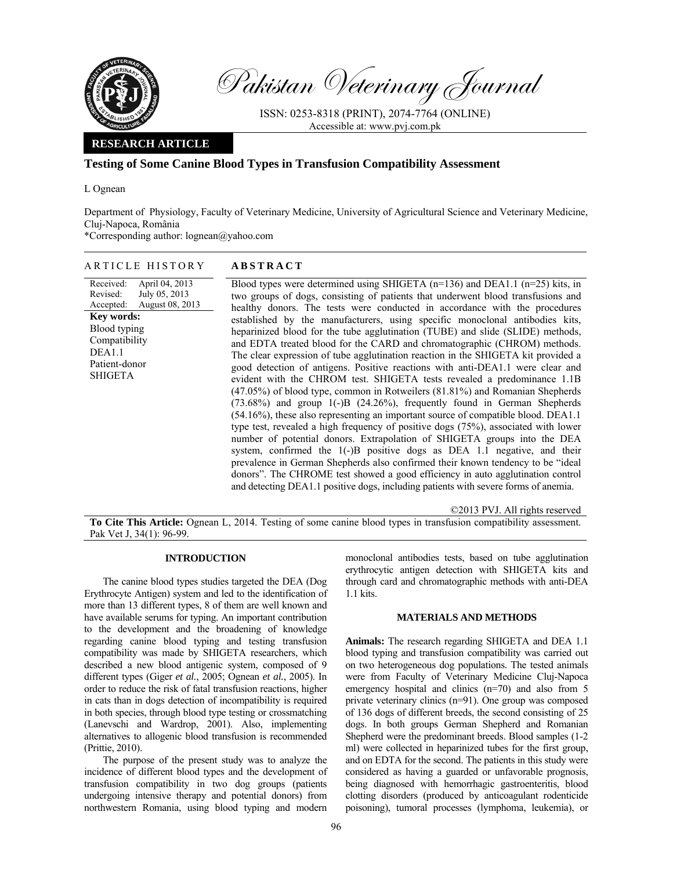

Pakistan Veterinary Journal

ISSN: 0253-8318 (PRINT), 2074-7764 (ONLINE) Accessible at: www.pvj.com.pk

# **RESEARCH ARTICLE**

## **Testing of Some Canine Blood Types in Transfusion Compatibility Assessment**

L Ognean

Department of Physiology, Faculty of Veterinary Medicine, University of Agricultural Science and Veterinary Medicine, Cluj-Napoca, România

\*Corresponding author: lognean@yahoo.com

### ARTICLE HISTORY **ABSTRACT**

Received: Revised: Accepted: April 04, 2013 July 05, 2013 August 08, 2013 Blood types were determined using SHIGETA (n=136) and DEA1.1 (n=25) kits, in two groups of dogs, consisting of patients that underwent blood transfusions and healthy donors. The tests were conducted in accordance with the procedures established by the manufacturers, using specific monoclonal antibodies kits, heparinized blood for the tube agglutination (TUBE) and slide (SLIDE) methods, and EDTA treated blood for the CARD and chromatographic (CHROM) methods. The clear expression of tube agglutination reaction in the SHIGETA kit provided a good detection of antigens. Positive reactions with anti-DEA1.1 were clear and evident with the CHROM test. SHIGETA tests revealed a predominance 1.1B (47.05%) of blood type, common in Rotweilers (81.81%) and Romanian Shepherds (73.68%) and group 1(-)B (24.26%), frequently found in German Shepherds (54.16%), these also representing an important source of compatible blood. DEA1.1 type test, revealed a high frequency of positive dogs (75%), associated with lower number of potential donors. Extrapolation of SHIGETA groups into the DEA system, confirmed the 1(-)B positive dogs as DEA 1.1 negative, and their prevalence in German Shepherds also confirmed their known tendency to be "ideal donors". The CHROME test showed a good efficiency in auto agglutination control and detecting DEA1.1 positive dogs, including patients with severe forms of anemia. **Key words:**  Blood typing Compatibility DEA1.1 Patient-donor **SHIGETA** 

©2013 PVJ. All rights reserved

**To Cite This Article:** Ognean L, 2014. Testing of some canine blood types in transfusion compatibility assessment. Pak Vet J, 34(1): 96-99.

### **INTRODUCTION**

The canine blood types studies targeted the DEA (Dog Erythrocyte Antigen) system and led to the identification of more than 13 different types, 8 of them are well known and have available serums for typing. An important contribution to the development and the broadening of knowledge regarding canine blood typing and testing transfusion compatibility was made by SHIGETA researchers, which described a new blood antigenic system, composed of 9 different types (Giger *et al.*, 2005; Ognean *et al.*, 2005). In order to reduce the risk of fatal transfusion reactions, higher in cats than in dogs detection of incompatibility is required in both species, through blood type testing or crossmatching (Lanevschi and Wardrop, 2001). Also, implementing alternatives to allogenic blood transfusion is recommended (Prittie, 2010).

The purpose of the present study was to analyze the incidence of different blood types and the development of transfusion compatibility in two dog groups (patients undergoing intensive therapy and potential donors) from northwestern Romania, using blood typing and modern

monoclonal antibodies tests, based on tube agglutination erythrocytic antigen detection with SHIGETA kits and through card and chromatographic methods with anti-DEA 1.1 kits.

### **MATERIALS AND METHODS**

**Animals:** The research regarding SHIGETA and DEA 1.1 blood typing and transfusion compatibility was carried out on two heterogeneous dog populations. The tested animals were from Faculty of Veterinary Medicine Cluj-Napoca emergency hospital and clinics (n=70) and also from 5 private veterinary clinics (n=91). One group was composed of 136 dogs of different breeds, the second consisting of 25 dogs. In both groups German Shepherd and Romanian Shepherd were the predominant breeds. Blood samples (1-2 ml) were collected in heparinized tubes for the first group, and on EDTA for the second. The patients in this study were considered as having a guarded or unfavorable prognosis, being diagnosed with hemorrhagic gastroenteritis, blood clotting disorders (produced by anticoagulant rodenticide poisoning), tumoral processes (lymphoma, leukemia), or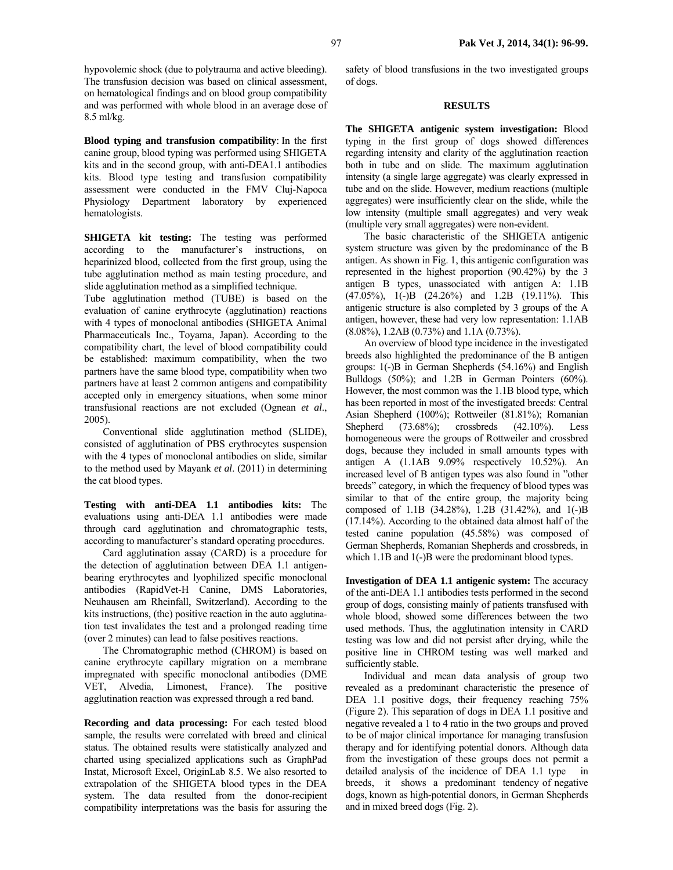hypovolemic shock (due to polytrauma and active bleeding). The transfusion decision was based on clinical assessment, on hematological findings and on blood group compatibility and was performed with whole blood in an average dose of 8.5 ml/kg.

**Blood typing and transfusion compatibility**: In the first canine group, blood typing was performed using SHIGETA kits and in the second group, with anti-DEA1.1 antibodies kits. Blood type testing and transfusion compatibility assessment were conducted in the FMV Cluj-Napoca Physiology Department laboratory by experienced hematologists.

**SHIGETA kit testing:** The testing was performed according to the manufacturer's instructions, on heparinized blood, collected from the first group, using the tube agglutination method as main testing procedure, and slide agglutination method as a simplified technique.

Tube agglutination method (TUBE) is based on the evaluation of canine erythrocyte (agglutination) reactions with 4 types of monoclonal antibodies (SHIGETA Animal Pharmaceuticals Inc., Toyama, Japan). According to the compatibility chart, the level of blood compatibility could be established: maximum compatibility, when the two partners have the same blood type, compatibility when two partners have at least 2 common antigens and compatibility accepted only in emergency situations, when some minor transfusional reactions are not excluded (Ognean *et al*., 2005).

Conventional slide agglutination method (SLIDE), consisted of agglutination of PBS erythrocytes suspension with the 4 types of monoclonal antibodies on slide, similar to the method used by Mayank *et al*. (2011) in determining the cat blood types.

**Testing with anti-DEA 1.1 antibodies kits:** The evaluations using anti-DEA 1.1 antibodies were made through card agglutination and chromatographic tests, according to manufacturer's standard operating procedures.

Card agglutination assay (CARD) is a procedure for the detection of agglutination between DEA 1.1 antigenbearing erythrocytes and lyophilized specific monoclonal antibodies (RapidVet-H Canine, DMS Laboratories, Neuhausen am Rheinfall, Switzerland). According to the kits instructions, (the) positive reaction in the auto agglutination test invalidates the test and a prolonged reading time (over 2 minutes) can lead to false positives reactions.

The Chromatographic method (CHROM) is based on canine erythrocyte capillary migration on a membrane impregnated with specific monoclonal antibodies (DME VET, Alvedia, Limonest, France). The positive agglutination reaction was expressed through a red band.

**Recording and data processing:** For each tested blood sample, the results were correlated with breed and clinical status. The obtained results were statistically analyzed and charted using specialized applications such as GraphPad Instat, Microsoft Excel, OriginLab 8.5. We also resorted to extrapolation of the SHIGETA blood types in the DEA system. The data resulted from the donor-recipient compatibility interpretations was the basis for assuring the safety of blood transfusions in the two investigated groups of dogs.

### **RESULTS**

**The SHIGETA antigenic system investigation:** Blood typing in the first group of dogs showed differences regarding intensity and clarity of the agglutination reaction both in tube and on slide. The maximum agglutination intensity (a single large aggregate) was clearly expressed in tube and on the slide. However, medium reactions (multiple aggregates) were insufficiently clear on the slide, while the low intensity (multiple small aggregates) and very weak (multiple very small aggregates) were non-evident.

The basic characteristic of the SHIGETA antigenic system structure was given by the predominance of the B antigen. As shown in Fig. 1, this antigenic configuration was represented in the highest proportion (90.42%) by the 3 antigen B types, unassociated with antigen A: 1.1B (47.05%), 1(-)B (24.26%) and 1.2B (19.11%). This antigenic structure is also completed by 3 groups of the A antigen, however, these had very low representation: 1.1AB (8.08%), 1.2AB (0.73%) and 1.1A (0.73%).

An overview of blood type incidence in the investigated breeds also highlighted the predominance of the B antigen groups: 1(-)B in German Shepherds (54.16%) and English Bulldogs (50%); and 1.2B in German Pointers (60%). However, the most common was the 1.1B blood type, which has been reported in most of the investigated breeds: Central Asian Shepherd (100%); Rottweiler (81.81%); Romanian Shepherd (73.68%); crossbreds (42.10%). Less homogeneous were the groups of Rottweiler and crossbred dogs, because they included in small amounts types with antigen A (1.1AB 9.09% respectively 10.52%). An increased level of B antigen types was also found in "other breeds" category, in which the frequency of blood types was similar to that of the entire group, the majority being composed of 1.1B (34.28%), 1.2B (31.42%), and 1(-)B (17.14%). According to the obtained data almost half of the tested canine population (45.58%) was composed of German Shepherds, Romanian Shepherds and crossbreds, in which 1.1B and 1(-)B were the predominant blood types.

**Investigation of DEA 1.1 antigenic system:** The accuracy of the anti-DEA 1.1 antibodies tests performed in the second group of dogs, consisting mainly of patients transfused with whole blood, showed some differences between the two used methods. Thus, the agglutination intensity in CARD testing was low and did not persist after drying, while the positive line in CHROM testing was well marked and sufficiently stable.

Individual and mean data analysis of group two revealed as a predominant characteristic the presence of DEA 1.1 positive dogs, their frequency reaching 75% (Figure 2). This separation of dogs in DEA 1.1 positive and negative revealed a 1 to 4 ratio in the two groups and proved to be of major clinical importance for managing transfusion therapy and for identifying potential donors. Although data from the investigation of these groups does not permit a detailed analysis of the incidence of DEA 1.1 type in breeds, it shows a predominant tendency of negative dogs, known as high-potential donors, in German Shepherds and in mixed breed dogs (Fig. 2).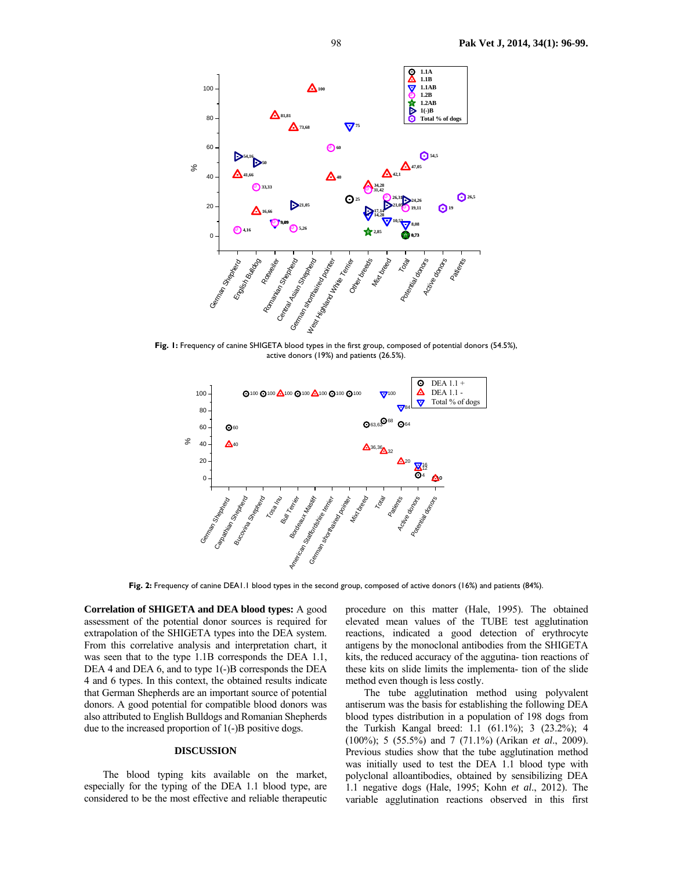

**Fig. 1:** Frequency of canine SHIGETA blood types in the first group, composed of potential donors (54.5%), active donors (19%) and patients (26.5%).



**Fig. 2:** Frequency of canine DEA1.1 blood types in the second group, composed of active donors (16%) and patients (84%).

**Correlation of SHIGETA and DEA blood types:** A good assessment of the potential donor sources is required for extrapolation of the SHIGETA types into the DEA system. From this correlative analysis and interpretation chart, it was seen that to the type 1.1B corresponds the DEA 1.1, DEA 4 and DEA 6, and to type 1(-)B corresponds the DEA 4 and 6 types. In this context, the obtained results indicate that German Shepherds are an important source of potential donors. A good potential for compatible blood donors was also attributed to English Bulldogs and Romanian Shepherds due to the increased proportion of 1(-)B positive dogs.

### **DISCUSSION**

The blood typing kits available on the market, especially for the typing of the DEA 1.1 blood type, are considered to be the most effective and reliable therapeutic procedure on this matter (Hale, 1995). The obtained elevated mean values of the TUBE test agglutination reactions, indicated a good detection of erythrocyte antigens by the monoclonal antibodies from the SHIGETA kits, the reduced accuracy of the aggutina- tion reactions of these kits on slide limits the implementa- tion of the slide method even though is less costly.

The tube agglutination method using polyvalent antiserum was the basis for establishing the following DEA blood types distribution in a population of 198 dogs from the Turkish Kangal breed: 1.1 (61.1%); 3 (23.2%); 4 (100%); 5 (55.5%) and 7 (71.1%) (Arikan *et al*., 2009). Previous studies show that the tube agglutination method was initially used to test the DEA 1.1 blood type with polyclonal alloantibodies, obtained by sensibilizing DEA 1.1 negative dogs (Hale, 1995; Kohn *et al*., 2012). The variable agglutination reactions observed in this first